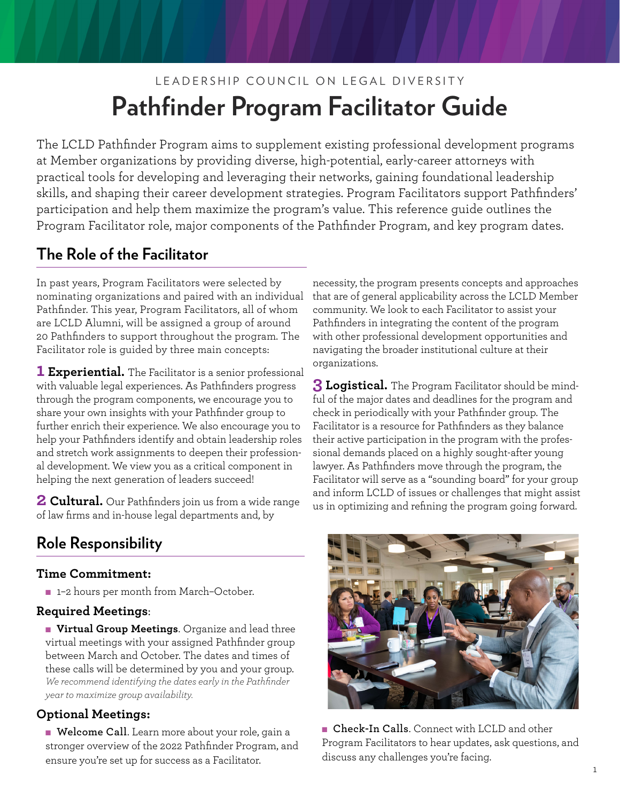# LEADERSHIP COUNCIL ON LEGAL DIVERSITY **Pathfinder Program Facilitator Guide**

The LCLD Pathfinder Program aims to supplement existing professional development programs at Member organizations by providing diverse, high-potential, early-career attorneys with practical tools for developing and leveraging their networks, gaining foundational leadership skills, and shaping their career development strategies. Program Facilitators support Pathfinders' participation and help them maximize the program's value. This reference guide outlines the Program Facilitator role, major components of the Pathfinder Program, and key program dates.

## **The Role of the Facilitator**

In past years, Program Facilitators were selected by nominating organizations and paired with an individual Pathfinder. This year, Program Facilitators, all of whom are LCLD Alumni, will be assigned a group of around 20 Pathfinders to support throughout the program. The Facilitator role is guided by three main concepts:

**1 Experiential.** The Facilitator is a senior professional with valuable legal experiences. As Pathfinders progress through the program components, we encourage you to share your own insights with your Pathfinder group to further enrich their experience. We also encourage you to help your Pathfinders identify and obtain leadership roles and stretch work assignments to deepen their professional development. We view you as a critical component in helping the next generation of leaders succeed!

**2 Cultural.** Our Pathfinders join us from a wide range of law firms and in-house legal departments and, by

# **Role Responsibility**

#### **Time Commitment:**

■ 1-2 hours per month from March-October.

#### **Required Meetings**:

**Nirtual Group Meetings**. Organize and lead three virtual meetings with your assigned Pathfinder group between March and October. The dates and times of these calls will be determined by you and your group. *We recommend identifying the dates early in the Pathfinder year to maximize group availability.*

#### **Optional Meetings:**

<sup>n</sup>**Welcome Call**. Learn more about your role, gain a stronger overview of the 2022 Pathfinder Program, and ensure you're set up for success as a Facilitator.

necessity, the program presents concepts and approaches that are of general applicability across the LCLD Member community. We look to each Facilitator to assist your Pathfinders in integrating the content of the program with other professional development opportunities and navigating the broader institutional culture at their organizations.

**3 Logistical.** The Program Facilitator should be mindful of the major dates and deadlines for the program and check in periodically with your Pathfinder group. The Facilitator is a resource for Pathfinders as they balance their active participation in the program with the professional demands placed on a highly sought-after young lawyer. As Pathfinders move through the program, the Facilitator will serve as a "sounding board" for your group and inform LCLD of issues or challenges that might assist us in optimizing and refining the program going forward.



**n** Check-In Calls. Connect with LCLD and other Program Facilitators to hear updates, ask questions, and discuss any challenges you're facing.